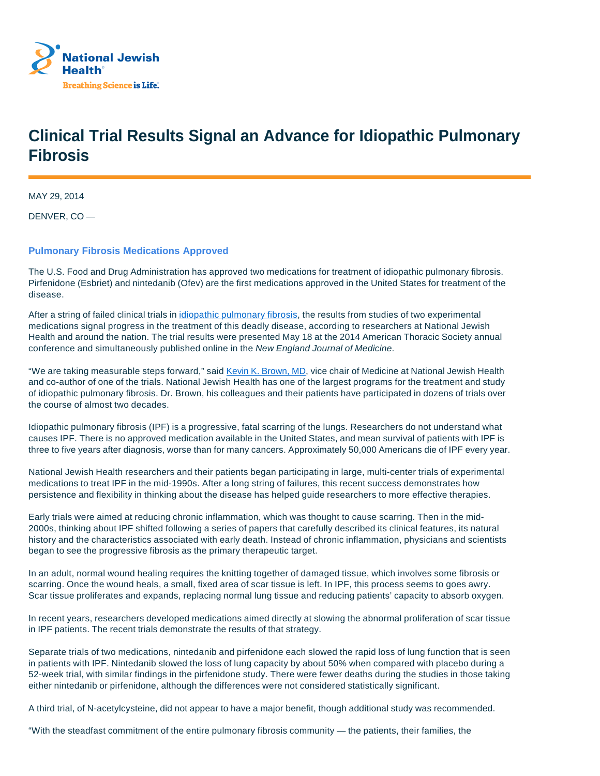

## **Clinical Trial Results Signal an Advance for Idiopathic Pulmonary Fibrosis**

MAY 29, 2014

DENVER, CO —

## **Pulmonary Fibrosis Medications Approved**

The U.S. Food and Drug Administration has approved two medications for treatment of idiopathic pulmonary fibrosis. Pirfenidone (Esbriet) and nintedanib (Ofev) are the first medications approved in the United States for treatment of the disease.

After a string of failed clinical trials in *idiopathic pulmonary fibrosis*, the results from studies of two experimental medications signal progress in the treatment of this deadly disease, according to researchers at National Jewish Health and around the nation. The trial results were presented May 18 at the 2014 American Thoracic Society annual conference and simultaneously published online in the New England Journal of Medicine.

"We are taking measurable steps forward," said Kevin K. Brown, MD, vice chair of Medicine at National Jewish Health and co-author of one of the trials. National Jewish Health has one of the largest programs for the treatment and study of idiopathic pulmonary fibrosis. Dr. Brown, his colleagues and their patients have participated in dozens of trials over the course of almost two decades.

Idiopathic pulmonary fibrosis (IPF) is a progressive, fatal scarring of the lungs. Researchers do not understand what causes IPF. There is no approved medication available in the United States, and mean survival of patients with IPF is three to five years after diagnosis, worse than for many cancers. Approximately 50,000 Americans die of IPF every year.

National Jewish Health researchers and their patients began participating in large, multi-center trials of experimental medications to treat IPF in the mid-1990s. After a long string of failures, this recent success demonstrates how persistence and flexibility in thinking about the disease has helped guide researchers to more effective therapies.

Early trials were aimed at reducing chronic inflammation, which was thought to cause scarring. Then in the mid-2000s, thinking about IPF shifted following a series of papers that carefully described its clinical features, its natural history and the characteristics associated with early death. Instead of chronic inflammation, physicians and scientists began to see the progressive fibrosis as the primary therapeutic target.

In an adult, normal wound healing requires the knitting together of damaged tissue, which involves some fibrosis or scarring. Once the wound heals, a small, fixed area of scar tissue is left. In IPF, this process seems to goes awry. Scar tissue proliferates and expands, replacing normal lung tissue and reducing patients' capacity to absorb oxygen.

In recent years, researchers developed medications aimed directly at slowing the abnormal proliferation of scar tissue in IPF patients. The recent trials demonstrate the results of that strategy.

Separate trials of two medications, nintedanib and pirfenidone each slowed the rapid loss of lung function that is seen in patients with IPF. Nintedanib slowed the loss of lung capacity by about 50% when compared with placebo during a 52-week trial, with similar findings in the pirfenidone study. There were fewer deaths during the studies in those taking either nintedanib or pirfenidone, although the differences were not considered statistically significant.

A third trial, of N-acetylcysteine, did not appear to have a major benefit, though additional study was recommended.

"With the steadfast commitment of the entire pulmonary fibrosis community — the patients, their families, the